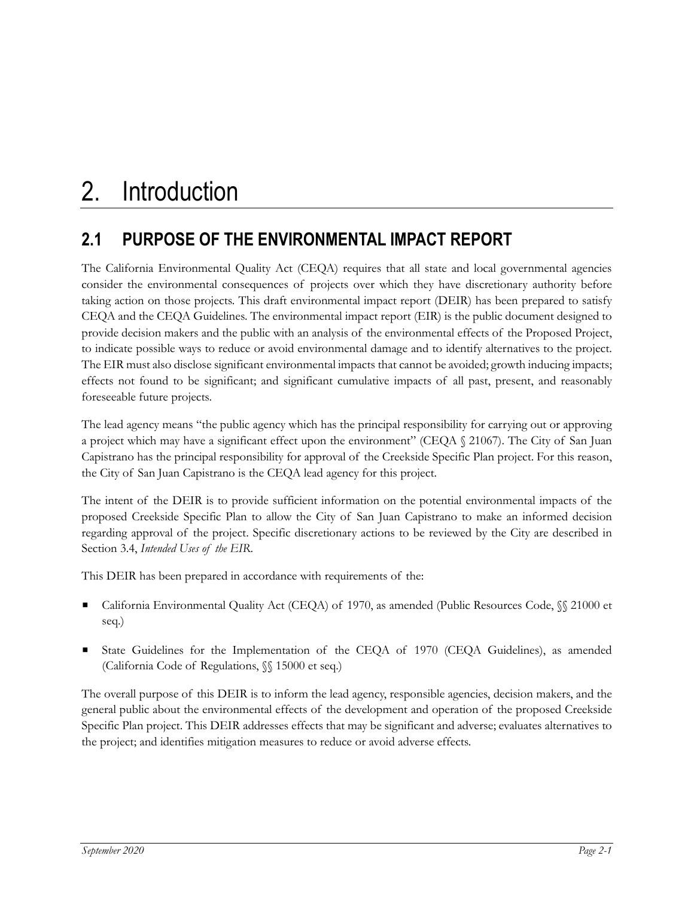# **2.1 PURPOSE OF THE ENVIRONMENTAL IMPACT REPORT**

The California Environmental Quality Act (CEQA) requires that all state and local governmental agencies consider the environmental consequences of projects over which they have discretionary authority before taking action on those projects. This draft environmental impact report (DEIR) has been prepared to satisfy CEQA and the CEQA Guidelines. The environmental impact report (EIR) is the public document designed to provide decision makers and the public with an analysis of the environmental effects of the Proposed Project, to indicate possible ways to reduce or avoid environmental damage and to identify alternatives to the project. The EIR must also disclose significant environmental impacts that cannot be avoided; growth inducing impacts; effects not found to be significant; and significant cumulative impacts of all past, present, and reasonably foreseeable future projects.

The lead agency means "the public agency which has the principal responsibility for carrying out or approving a project which may have a significant effect upon the environment" (CEQA § 21067). The City of San Juan Capistrano has the principal responsibility for approval of the Creekside Specific Plan project. For this reason, the City of San Juan Capistrano is the CEQA lead agency for this project.

The intent of the DEIR is to provide sufficient information on the potential environmental impacts of the proposed Creekside Specific Plan to allow the City of San Juan Capistrano to make an informed decision regarding approval of the project. Specific discretionary actions to be reviewed by the City are described in Section 3.4, *Intended Uses of the EIR*.

This DEIR has been prepared in accordance with requirements of the:

- California Environmental Quality Act (CEQA) of 1970, as amended (Public Resources Code, §§ 21000 et seq.)
- State Guidelines for the Implementation of the CEQA of 1970 (CEQA Guidelines), as amended (California Code of Regulations, §§ 15000 et seq.)

The overall purpose of this DEIR is to inform the lead agency, responsible agencies, decision makers, and the general public about the environmental effects of the development and operation of the proposed Creekside Specific Plan project. This DEIR addresses effects that may be significant and adverse; evaluates alternatives to the project; and identifies mitigation measures to reduce or avoid adverse effects.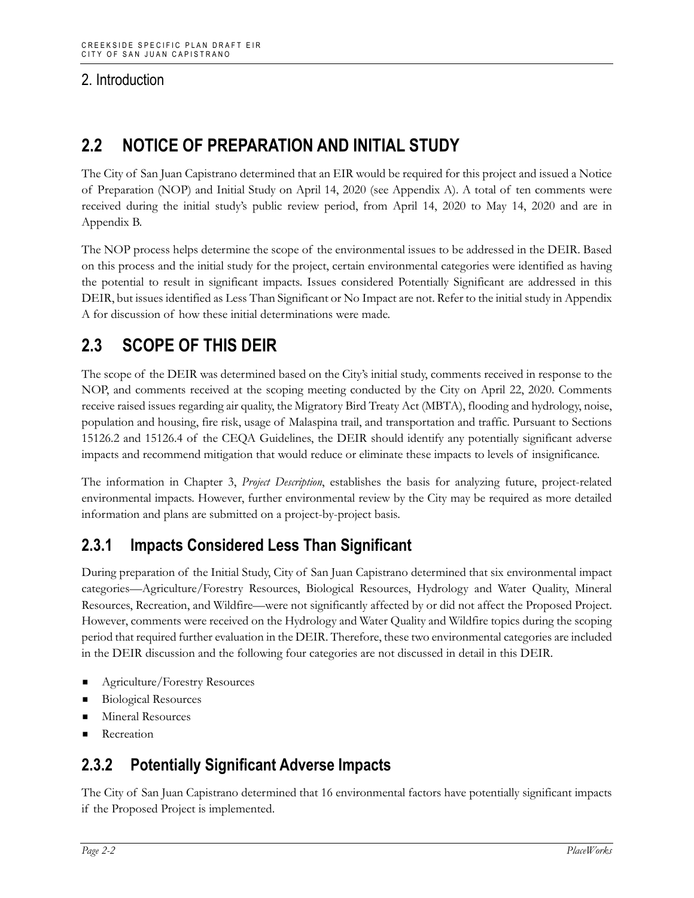# **2.2 NOTICE OF PREPARATION AND INITIAL STUDY**

The City of San Juan Capistrano determined that an EIR would be required for this project and issued a Notice of Preparation (NOP) and Initial Study on April 14, 2020 (see Appendix A). A total of ten comments were received during the initial study's public review period, from April 14, 2020 to May 14, 2020 and are in Appendix B.

The NOP process helps determine the scope of the environmental issues to be addressed in the DEIR. Based on this process and the initial study for the project, certain environmental categories were identified as having the potential to result in significant impacts. Issues considered Potentially Significant are addressed in this DEIR, but issues identified as Less Than Significant or No Impact are not. Refer to the initial study in Appendix A for discussion of how these initial determinations were made.

# **2.3 SCOPE OF THIS DEIR**

The scope of the DEIR was determined based on the City's initial study, comments received in response to the NOP, and comments received at the scoping meeting conducted by the City on April 22, 2020. Comments receive raised issues regarding air quality, the Migratory Bird Treaty Act (MBTA), flooding and hydrology, noise, population and housing, fire risk, usage of Malaspina trail, and transportation and traffic. Pursuant to Sections 15126.2 and 15126.4 of the CEQA Guidelines, the DEIR should identify any potentially significant adverse impacts and recommend mitigation that would reduce or eliminate these impacts to levels of insignificance.

The information in Chapter 3, *Project Description*, establishes the basis for analyzing future, project-related environmental impacts. However, further environmental review by the City may be required as more detailed information and plans are submitted on a project-by-project basis.

### **2.3.1 Impacts Considered Less Than Significant**

During preparation of the Initial Study, City of San Juan Capistrano determined that six environmental impact categories—Agriculture/Forestry Resources, Biological Resources, Hydrology and Water Quality, Mineral Resources, Recreation, and Wildfire—were not significantly affected by or did not affect the Proposed Project. However, comments were received on the Hydrology and Water Quality and Wildfire topics during the scoping period that required further evaluation in the DEIR. Therefore, these two environmental categories are included in the DEIR discussion and the following four categories are not discussed in detail in this DEIR.

- Agriculture/Forestry Resources
- Biological Resources
- Mineral Resources
- Recreation

### **2.3.2 Potentially Significant Adverse Impacts**

The City of San Juan Capistrano determined that 16 environmental factors have potentially significant impacts if the Proposed Project is implemented.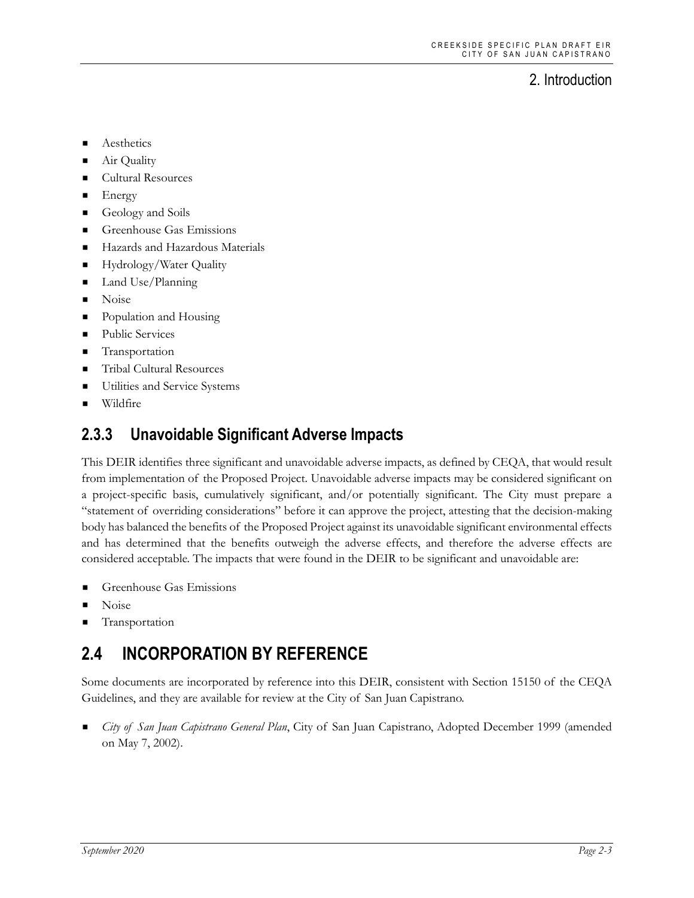- **Aesthetics**
- Air Quality
- **Cultural Resources**
- $\blacksquare$  Energy
- Geology and Soils
- Greenhouse Gas Emissions
- Hazards and Hazardous Materials
- Hydrology/Water Quality
- Land Use/Planning
- **Noise**
- **Population and Housing**
- Public Services
- **Transportation**
- **Tribal Cultural Resources**
- Utilities and Service Systems
- Wildfire

### **2.3.3 Unavoidable Significant Adverse Impacts**

This DEIR identifies three significant and unavoidable adverse impacts, as defined by CEQA, that would result from implementation of the Proposed Project. Unavoidable adverse impacts may be considered significant on a project-specific basis, cumulatively significant, and/or potentially significant. The City must prepare a "statement of overriding considerations" before it can approve the project, attesting that the decision-making body has balanced the benefits of the Proposed Project against its unavoidable significant environmental effects and has determined that the benefits outweigh the adverse effects, and therefore the adverse effects are considered acceptable. The impacts that were found in the DEIR to be significant and unavoidable are:

- Greenhouse Gas Emissions
- Noise
- Transportation

# **2.4 INCORPORATION BY REFERENCE**

Some documents are incorporated by reference into this DEIR, consistent with Section 15150 of the CEQA Guidelines, and they are available for review at the City of San Juan Capistrano.

 *City of San Juan Capistrano General Plan*, City of San Juan Capistrano, Adopted December 1999 (amended on May 7, 2002).